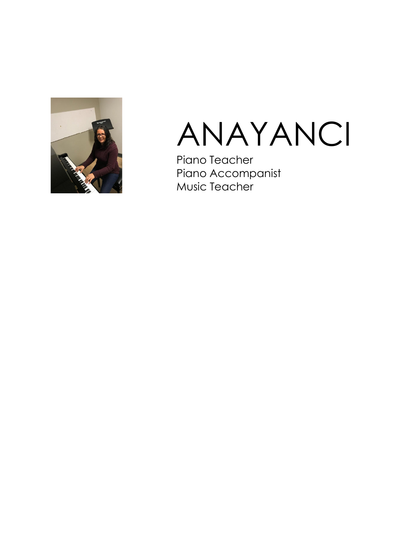



Piano Teacher Piano Accompanist Music Teacher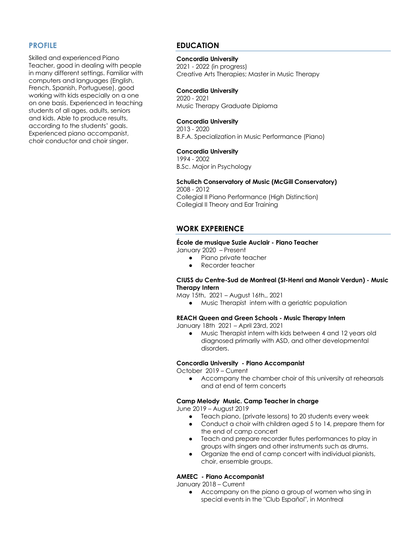## **PROFILE**

Skilled and experienced Piano Teacher, good in dealing with people in many different settings. Familiar with computers and languages (English, French, Spanish, Portuguese), good working with kids especially on a one on one basis. Experienced in teaching students of all ages, adults, seniors and kids. Able to produce results, according to the students' goals. Experienced piano accompanist, choir conductor and choir singer.

## **EDUCATION**

## **Concordia University**

2021 - 2022 (in progress) Creative Arts Therapies; Master in Music Therapy

#### **Concordia University**

2020 - 2021 Music Therapy Graduate Diploma

#### **Concordia University**

2013 - 2020 B.F.A. Specialization in Music Performance (Piano)

#### **Concordia University**

1994 - 2002 B.Sc. Major in Psychology

## **Schulich Conservatory of Music (McGill Conservatory)**

2008 - 2012 Collegial II Piano Performance (High Distinction) Collegial II Theory and Ear Training

## **WORK EXPERIENCE**

#### **École de musique Suzie Auclair - Piano Teacher**

January 2020 – Present

- Piano private teacher
- Recorder teacher

## **CIUSS du Centre-Sud de Montreal (St-Henri and Manoir Verdun) - Music Therapy Intern**

May 15th, 2021 – August 16th,, 2021

● Music Therapist intern with a geriatric population

## **REACH Queen and Green Schools - Music Therapy Intern**

January 18th 2021 – April 23rd, 2021

● Music Therapist intern with kids between 4 and 12 years old diagnosed primarily with ASD, and other developmental disorders.

## **Concordia University - Piano Accompanist**

October 2019 – Current

● Accompany the chamber choir of this university at rehearsals and at end of term concerts

## **Camp Melody Music. Camp Teacher in charge**

June 2019 – August 2019

- Teach piano, (private lessons) to 20 students every week
- Conduct a choir with children aged 5 to 14, prepare them for the end of camp concert
- Teach and prepare recorder flutes performances to play in groups with singers and other instruments such as drums.
- Organize the end of camp concert with individual pianists, choir, ensemble groups.

#### **AMEEC - Piano Accompanist**

January 2018 – Current

● Accompany on the piano a group of women who sing in special events in the "Club Español", in Montreal